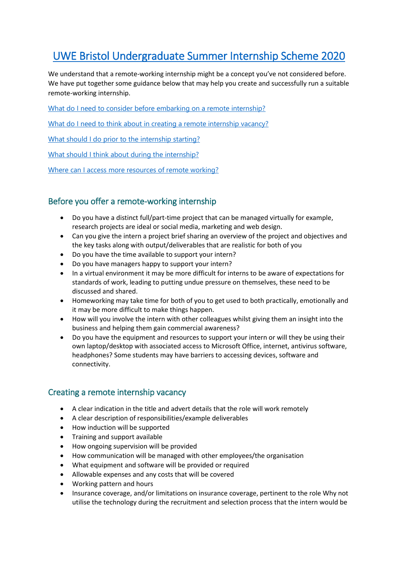# [UWE Bristol Undergraduate Summer Internship Scheme 2020](https://www1.uwe.ac.uk/business/recruitingtalent/employinginterns/undergraduateinternships.aspx)

We understand that a remote-working internship might be a concept you've not considered before. We have put together some guidance below that may help you create and successfully run a suitable remote-working internship.

[What do I need to consider before embarking on a remote internship?](#page-0-0)

What do [I need to think about in creating a remote internship vacancy?](#page-0-1)

[What should I do prior to the internship starting?](#page-1-0)

[What should I think about during the internship?](#page-1-1)

[Where can I access more resources of remote working?](#page-1-2)

## <span id="page-0-0"></span>Before you offer a remote-working internship

- Do you have a distinct full/part-time project that can be managed virtually for example, research projects are ideal or social media, marketing and web design.
- Can you give the intern a project brief sharing an overview of the project and objectives and the key tasks along with output/deliverables that are realistic for both of you
- Do you have the time available to support your intern?
- Do you have managers happy to support your intern?
- In a virtual environment it may be more difficult for interns to be aware of expectations for standards of work, leading to putting undue pressure on themselves, these need to be discussed and shared.
- Homeworking may take time for both of you to get used to both practically, emotionally and it may be more difficult to make things happen.
- How will you involve the intern with other colleagues whilst giving them an insight into the business and helping them gain commercial awareness?
- Do you have the equipment and resources to support your intern or will they be using their own laptop/desktop with associated access to Microsoft Office, internet, antivirus software, headphones? Some students may have barriers to accessing devices, software and connectivity.

### <span id="page-0-1"></span>Creating a remote internship vacancy

- A clear indication in the title and advert details that the role will work remotely
- A clear description of responsibilities/example deliverables
- How induction will be supported
- Training and support available
- How ongoing supervision will be provided
- How communication will be managed with other employees/the organisation
- What equipment and software will be provided or required
- Allowable expenses and any costs that will be covered
- Working pattern and hours
- Insurance coverage, and/or limitations on insurance coverage, pertinent to the role Why not utilise the technology during the recruitment and selection process that the intern would be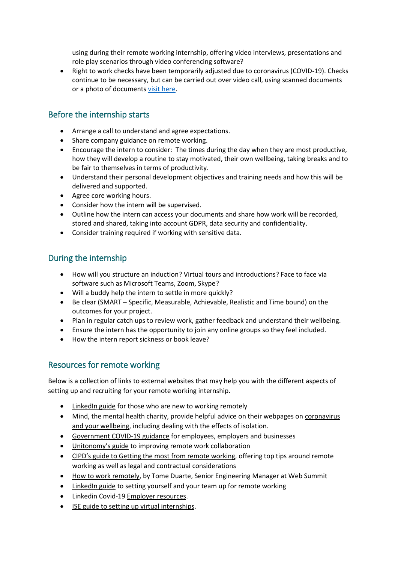using during their remote working internship, offering video interviews, presentations and role play scenarios through video conferencing software?

• Right to work checks have been temporarily adjusted due to coronavirus (COVID-19). Checks continue to be necessary, but can be carried out over video call, using scanned documents or a photo of documents [visit here.](https://www.gov.uk/guidance/coronavirus-covid-19-right-to-work-checks)

# <span id="page-1-0"></span>Before the internship starts

- Arrange a call to understand and agree expectations.
- Share company guidance on remote working.
- Encourage the intern to consider: The times during the day when they are most productive, how they will develop a routine to stay motivated, their own wellbeing, taking breaks and to be fair to themselves in terms of productivity.
- Understand their personal development objectives and training needs and how this will be delivered and supported.
- Agree core working hours.
- Consider how the intern will be supervised.
- Outline how the intern can access your documents and share how work will be recorded, stored and shared, taking into account GDPR, data security and confidentiality.
- Consider training required if working with sensitive data.

## <span id="page-1-1"></span>During the internship

- How will you structure an induction? Virtual tours and introductions? Face to face via software such as Microsoft Teams, Zoom, Skype?
- Will a buddy help the intern to settle in more quickly?
- Be clear (SMART Specific, Measurable, Achievable, Realistic and Time bound) on the outcomes for your project.
- Plan in regular catch ups to review work, gather feedback and understand their wellbeing.
- Ensure the intern has the opportunity to join any online groups so they feel included.
- How the intern report sickness or book leave?

### <span id="page-1-2"></span>Resources for remote working

Below is a collection of links to external websites that may help you with the different aspects of setting up and recruiting for your remote working internship.

- [LinkedIn guide](https://learning.linkedin.com/blog/productivity-tips/new-to-working-remotely--these-resources-can-help) for those who are new to working remotely
- Mind, the mental health charity, provide helpful advice on their webpages on [coronavirus](https://www.mind.org.uk/information-support/coronavirus-and-your-wellbeing/)  [and your wellbeing,](https://www.mind.org.uk/information-support/coronavirus-and-your-wellbeing/) including dealing with the effects of isolation.
- [Government COVID-19 guidance](https://www.gov.uk/government/publications/guidance-to-employers-and-businesses-about-covid-19) for employees, employers and businesses
- [Unitonomy's guide](https://unitonomy.com/how-to-improve-remote-work-collaboration/) to improving remote work collaboration
- [CIPD's guide to Getting the most from remote working](https://www.cipd.co.uk/knowledge/fundamentals/relations/flexible-working/remote-working-top-tips#73289), offering top tips around remote working as well as legal and contractual considerations
- [How to work remotely,](https://docs.google.com/document/d/1TxvVMjLsBcotorhgSJ4ltA_XCjowXrBnpYQVV9D0n7E/edit) by Tome Duarte, Senior Engineering Manager at Web Summit
- [LinkedIn guide](https://www.linkedin.com/learning/paths/remote-working-setting-yourself-and-your-teams-up-for-success) to setting yourself and your team up for remote working
- Linkedin Covid-19 [Employer resources.](https://www.indeed.co.uk/hire/resources/covid-19-employer-resources)
- [ISE guide to setting up virtual internships.](https://ise.org.uk/general/custom.asp?page=blog-5-tips-for-setting-up-virtual-internships)